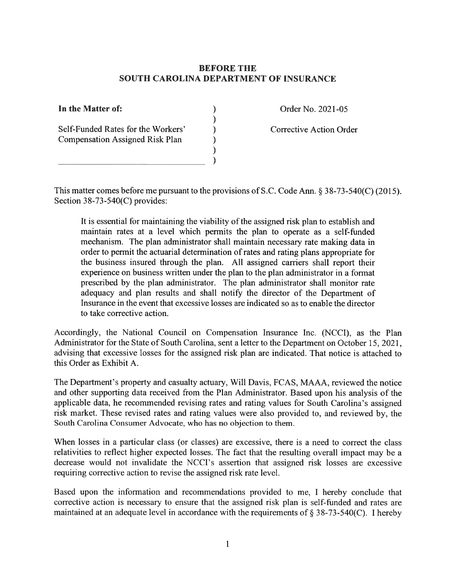## **BEFORE THE SOUTH CAROLINA DEPARTMENT OF INSURANCE**

 $\mathcal{E}$ 

In the Matter of:

Self-Funded Rates for the Workers' **Compensation Assigned Risk Plan** 

Order No. 2021-05

Corrective Action Order

This matter comes before me pursuant to the provisions of S.C. Code Ann.  $\S$  38-73-540(C) (2015). Section  $38-73-540(C)$  provides:

It is essential for maintaining the viability of the assigned risk plan to establish and maintain rates at a level which permits the plan to operate as a self-funded mechanism. The plan administrator shall maintain necessary rate making data in order to permit the actuarial determination of rates and rating plans appropriate for the business insured through the plan. All assigned carriers shall report their experience on business written under the plan to the plan administrator in a format prescribed by the plan administrator. The plan administrator shall monitor rate adequacy and plan results and shall notify the director of the Department of Insurance in the event that excessive losses are indicated so as to enable the director to take corrective action.

Accordingly, the National Council on Compensation Insurance Inc. (NCCI), as the Plan Administrator for the State of South Carolina, sent a letter to the Department on October 15, 2021, advising that excessive losses for the assigned risk plan are indicated. That notice is attached to this Order as Exhibit A.

The Department's property and casualty actuary, Will Davis, FCAS, MAAA, reviewed the notice and other supporting data received from the Plan Administrator. Based upon his analysis of the applicable data, he recommended revising rates and rating values for South Carolina's assigned risk market. These revised rates and rating values were also provided to, and reviewed by, the South Carolina Consumer Advocate, who has no objection to them.

When losses in a particular class (or classes) are excessive, there is a need to correct the class relativities to reflect higher expected losses. The fact that the resulting overall impact may be a decrease would not invalidate the NCCI's assertion that assigned risk losses are excessive requiring corrective action to revise the assigned risk rate level.

Based upon the information and recommendations provided to me, I hereby conclude that corrective action is necessary to ensure that the assigned risk plan is self-funded and rates are maintained at an adequate level in accordance with the requirements of  $\S 38-73-540(C)$ . I hereby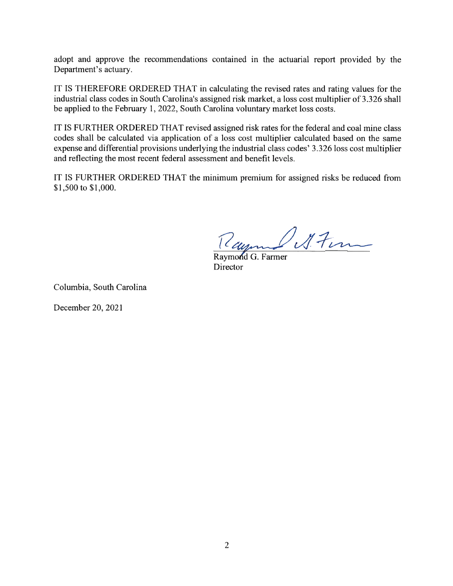adopt and approve the recommendations contained in the actuarial report provided by the Department's actuary.

IT IS THEREFORE ORDERED THAT in calculating the revised rates and rating values for the industrial class codes in South Carolina's assigned risk market, a loss cost multiplier of 3.326 shall be applied to the February 1, 2022, South Carolina voluntary market loss costs.

IT IS FURTHER ORDERED THAT revised assigned risk rates for the federal and coal mine class codes shall be calculated via application of a loss cost multiplier calculated based on the same expense and differential provisions underlying the industrial class codes' 3.326 loss cost multiplier and reflecting the most recent federal assessment and benefit levels.

IT IS FURTHER ORDERED THAT the minimum premium for assigned risks be reduced from \$1,500 to \$1,000.

Rayme Stem

Raymond G. Farmer Director

Columbia, South Carolina

December 20, 2021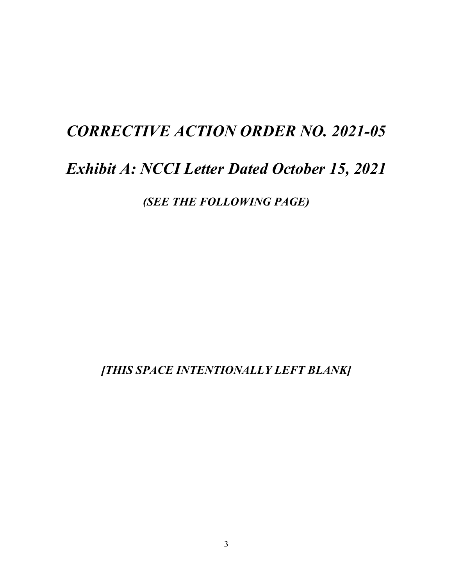## *CORRECTIVE ACTION ORDER NO. 2021-05*

## *Exhibit A: NCCI Letter Dated October 15, 2021*

*(SEE THE FOLLOWING PAGE)*

*[THIS SPACE INTENTIONALLY LEFT BLANK]*